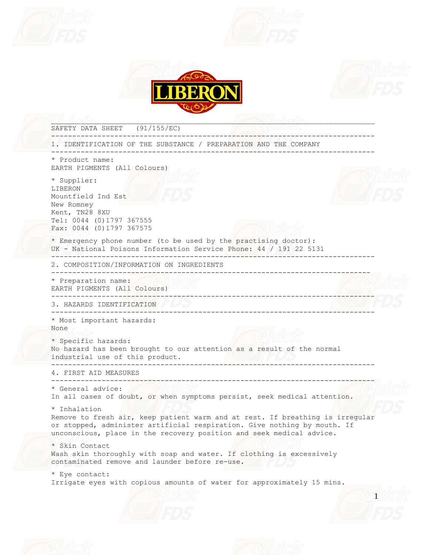







1 SAFETY DATA SHEET (91/155/EC) ----------------------------------------------------------------------------- 1. IDENTIFICATION OF THE SUBSTANCE / PREPARATION AND THE COMPANY ----------------------------------------------------------------------------- \* Product name: EARTH PIGMENTS (All Colours) \* Supplier: LIBERON Mountfield Ind Est New Romney Kent, TN28 8XU Tel: 0044 (0)1797 367555 Fax: 0044 (0)1797 367575 \* Emergency phone number (to be used by the practising doctor): UK - National Poisons Information Service Phone: 44 / 191 22 5131 ----------------------------------------------------------------------------- 2. COMPOSITION/INFORMATION ON INGREDIENTS ---------------------------------------------------------------------------- \* Preparation name: EARTH PIGMENTS (All Colours) ----------------------------------------------------------------------------- 3. HAZARDS IDENTIFICATION ----------------------------------------------------------------------------- \* Most important hazards: None \* Specific hazards: No hazard has been brought to our attention as a result of the normal industrial use of this product. ----------------------------------------------------------------------------- 4. FIRST AID MEASURES ----------------------------------------------------------------------------- \* General advice: In all cases of doubt, or when symptoms persist, seek medical attention. \* Inhalation Remove to fresh air, keep patient warm and at rest. If breathing is irregular or stopped, administer artificial respiration. Give nothing by mouth. If unconscious, place in the recovery position and seek medical advice. \* Skin Contact Wash skin thoroughly with soap and water. If clothing is excessively contaminated remove and launder before re-use. \* Eye contact: Irrigate eyes with copious amounts of water for approximately 15 mins.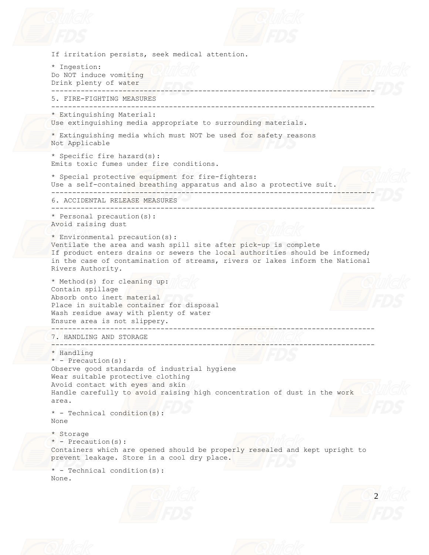



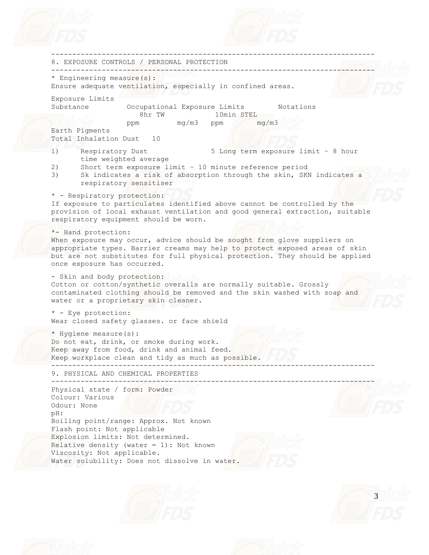

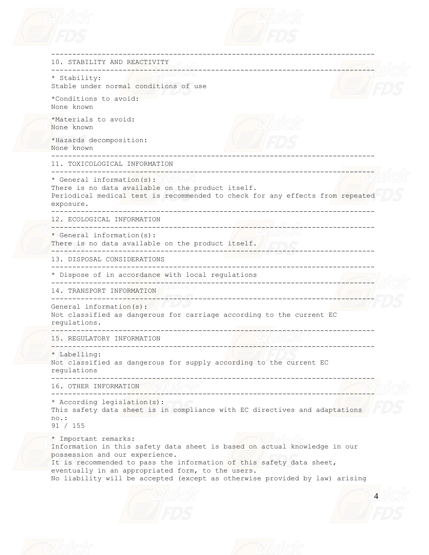



| 10. STABILITY AND REACTIVITY<br>____________________________                                                                                                                                                                                                                                                                                    |  |
|-------------------------------------------------------------------------------------------------------------------------------------------------------------------------------------------------------------------------------------------------------------------------------------------------------------------------------------------------|--|
| -------------------<br>* Stability:                                                                                                                                                                                                                                                                                                             |  |
| Stable under normal conditions of use                                                                                                                                                                                                                                                                                                           |  |
| *Conditions to avoid:<br>None known                                                                                                                                                                                                                                                                                                             |  |
| *Materials to avoid:<br>None known                                                                                                                                                                                                                                                                                                              |  |
| *Hazards decomposition:<br>None known                                                                                                                                                                                                                                                                                                           |  |
| 11. TOXICOLOGICAL INFORMATION                                                                                                                                                                                                                                                                                                                   |  |
| * General information(s):<br>There is no data available on the product itself.<br>Periodical medical test is recommended to check for any effects from repeated<br>exposure.                                                                                                                                                                    |  |
| 12. ECOLOGICAL INFORMATION                                                                                                                                                                                                                                                                                                                      |  |
| * General information(s):<br>There is no data available on the product itself.                                                                                                                                                                                                                                                                  |  |
| 13. DISPOSAL CONSIDERATIONS                                                                                                                                                                                                                                                                                                                     |  |
| ---------------------------<br>----------------------<br>* Dispose of in accordance with local regulations                                                                                                                                                                                                                                      |  |
| CO/C_________________________________<br>14. TRANSPORT INFORMATION                                                                                                                                                                                                                                                                              |  |
| ----------------------------------<br>General information(s):<br>Not classified as dangerous for carriage according to the current EC<br>requlations.                                                                                                                                                                                           |  |
| ___________________________<br>15. REGULATORY INFORMATION<br>--------------------------------                                                                                                                                                                                                                                                   |  |
| * Labelling:<br>Not classified as dangerous for supply according to the current EC<br>requlations                                                                                                                                                                                                                                               |  |
| 16. OTHER INFORMATION<br>___________________________                                                                                                                                                                                                                                                                                            |  |
| * According legislation(s):<br>This safety data sheet is in compliance with EC directives and adaptations<br>no.:<br>91 / 155                                                                                                                                                                                                                   |  |
| * Important remarks:<br>Information in this safety data sheet is based on actual knowledge in our<br>possession and our experience.<br>It is recommended to pass the information of this safety data sheet,<br>eventually in an appropriated form, to the users.<br>No liability will be accepted (except as otherwise provided by law) arising |  |
|                                                                                                                                                                                                                                                                                                                                                 |  |
|                                                                                                                                                                                                                                                                                                                                                 |  |